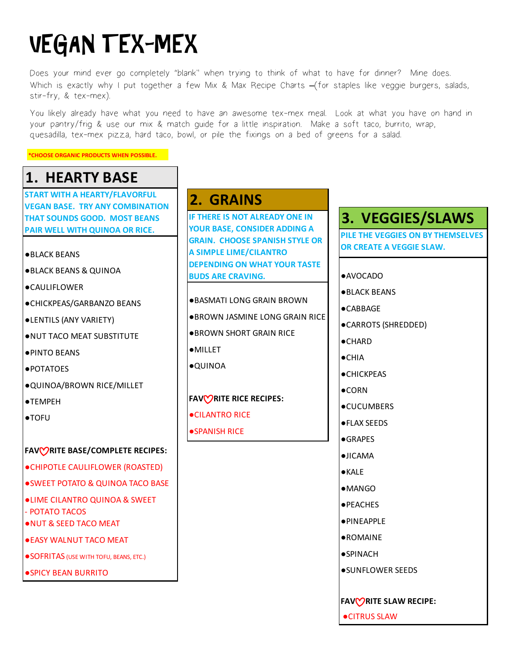# VEGAN TEX-MEX

Does your mind ever go completely "blank" when trying to think of what to have for dinner? Mine does. Which is exactly why I put together a few Mix & Max Recipe Charts **–**(for staples like veggie burgers, salads, stir-fry, & tex-mex).

You likely already have what you need to have an awesome tex-mex meal. Look at what you have on hand in your pantry/frig & use our mix & match guide for a little inspiration. Make a soft taco, burrito, wrap, quesadilla, tex-mex pizza, hard taco, bowl, or pile the fixings on a bed of greens for a salad.

**\*CHOOSE ORGANIC PRODUCTS WHEN POSSIBLE.**

# **1. HEARTY BASE**

**START WITH A HEARTY/FLAVORFUL VEGAN BASE. TRY ANY COMBINATION THAT SOUNDS GOOD. MOST BEANS PAIR WELL WITH QUINOA OR RICE.**

- ●BLACK BEANS
- ●BLACK BEANS & QUINOA
- ●CAULIFLOWER
- ●CHICKPEAS/GARBANZO BEANS
- ●LENTILS (ANY VARIETY)
- ●NUT TACO MEAT SUBSTITUTE
- ●PINTO BEANS
- ●POTATOES
- ●QUINOA/BROWN RICE/MILLET
- ●TEMPEH
- ●TOFU

#### **FAVORITE BASE/COMPLETE RECIPES:**

- ●[CHIPOTLE CAULIFLOWER \(ROASTED\)](https://docs.wixstatic.com/ugd/91cdc4_3d6dc2e51f4e4e0dbb2fea9583b0984f.pdf)
- [SWEET POTATO & QUINOA TACO BASE](https://docs.wixstatic.com/ugd/91cdc4_f2fd547939874c97b4f54b13e75ec109.pdf)
- [●LIME CILANTRO QUINOA & SWEET](https://docs.wixstatic.com/ugd/91cdc4_973fd31ab35a4a5987b6e05ce924d66a.pdf)
- POTATO TACOS
- ●[NUT & SEED TACO MEAT](https://docs.wixstatic.com/ugd/91cdc4_996265bd9eec45eeb5c4f784336dc1bb.pdf)
- ●[EASY WALNUT TACO MEAT](https://docs.wixstatic.com/ugd/91cdc4_8c2ae4b63be54aaf8af49080051b01a5.pdf)
- [SOFRITAS \(USE WITH TOFU, BEANS, ETC.\)](https://docs.wixstatic.com/ugd/91cdc4_c8797552500b4bb2acd29a508c42f73a.pdf)
- ●[SPICY BEAN BURRITO](https://docs.wixstatic.com/ugd/91cdc4_de0c7868395d45e985031d66db91fc90.pdf)

### **2. GRAINS**

**IF THERE IS NOT ALREADY ONE IN YOUR BASE, CONSIDER ADDING A GRAIN. CHOOSE SPANISH STYLE OR A SIMPLE LIME/CILANTRO DEPENDING ON WHAT YOUR TASTE BUDS ARE CRAVING.**

- ●BASMATI LONG GRAIN BROWN
- ●BROWN JASMINE LONG GRAIN RICE
- ●BROWN SHORT GRAIN RICE
- ●MILLET
- ●QUINOA

### **FAVORITE RICE RECIPES:**

- ●[CILANTRO RICE](https://docs.wixstatic.com/ugd/91cdc4_a2281f4f0b1f4384a6beb9c1699f751f.pdf)
- ●**SPANISH RICE**

### **3. VEGGIES/SLAWS**

**PILE THE VEGGIES ON BY THEMSELVES OR CREATE A VEGGIE SLAW.**

#### ●AVOCADO

- ●BLACK BEANS
- ●CABBAGE
- ●CARROTS (SHREDDED)
- ●CHARD
- ●CHIA
- ●CHICKPEAS
- ●CORN
- ●CUCUMBERS
- ●FLAX SEEDS
- ●GRAPES
- ●JICAMA
- ●KALE
- ●MANGO
- ●PEACHES
- ●PINEAPPLE
- ●ROMAINE
- ●**SPINACH**
- ●SUNFLOWER SEEDS
- **FAVORITE SLAW RECIPE:**
- ●[CITRUS SLAW](https://docs.wixstatic.com/ugd/91cdc4_ab5f57b5cdeb42728cca71fa1a2ee414.pdf)